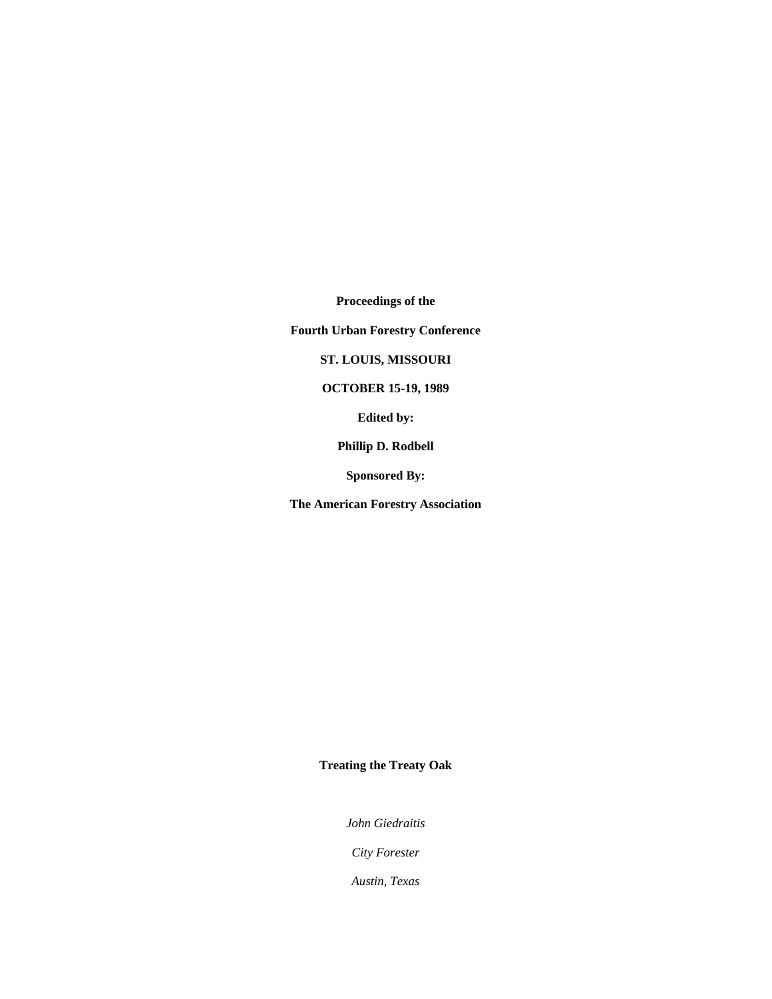**Proceedings of the** 

**Fourth Urban Forestry Conference** 

## **ST. LOUIS, MISSOURI**

## **OCTOBER 15-19, 1989**

**Edited by:** 

**Phillip D. Rodbell** 

**Sponsored By:** 

**The American Forestry Association** 

## **Treating the Treaty Oak**

*John Giedraitis* 

*City Forester* 

*Austin, Texas*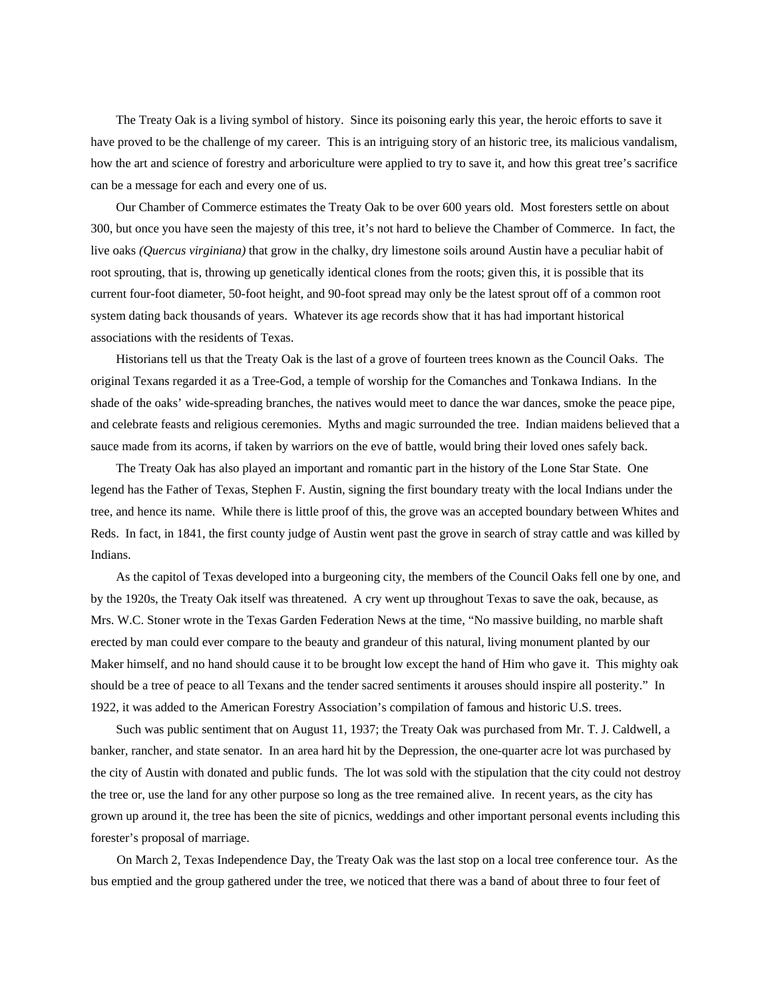The Treaty Oak is a living symbol of history. Since its poisoning early this year, the heroic efforts to save it have proved to be the challenge of my career. This is an intriguing story of an historic tree, its malicious vandalism, how the art and science of forestry and arboriculture were applied to try to save it, and how this great tree's sacrifice can be a message for each and every one of us.

Our Chamber of Commerce estimates the Treaty Oak to be over 600 years old. Most foresters settle on about 300, but once you have seen the majesty of this tree, it's not hard to believe the Chamber of Commerce. In fact, the live oaks *(Quercus virginiana)* that grow in the chalky, dry limestone soils around Austin have a peculiar habit of root sprouting, that is, throwing up genetically identical clones from the roots; given this, it is possible that its current four-foot diameter, 50-foot height, and 90-foot spread may only be the latest sprout off of a common root system dating back thousands of years. Whatever its age records show that it has had important historical associations with the residents of Texas.

Historians tell us that the Treaty Oak is the last of a grove of fourteen trees known as the Council Oaks. The original Texans regarded it as a Tree-God, a temple of worship for the Comanches and Tonkawa Indians. In the shade of the oaks' wide-spreading branches, the natives would meet to dance the war dances, smoke the peace pipe, and celebrate feasts and religious ceremonies. Myths and magic surrounded the tree. Indian maidens believed that a sauce made from its acorns, if taken by warriors on the eve of battle, would bring their loved ones safely back.

The Treaty Oak has also played an important and romantic part in the history of the Lone Star State. One legend has the Father of Texas, Stephen F. Austin, signing the first boundary treaty with the local Indians under the tree, and hence its name. While there is little proof of this, the grove was an accepted boundary between Whites and Reds. In fact, in 1841, the first county judge of Austin went past the grove in search of stray cattle and was killed by Indians.

As the capitol of Texas developed into a burgeoning city, the members of the Council Oaks fell one by one, and by the 1920s, the Treaty Oak itself was threatened. A cry went up throughout Texas to save the oak, because, as Mrs. W.C. Stoner wrote in the Texas Garden Federation News at the time, "No massive building, no marble shaft erected by man could ever compare to the beauty and grandeur of this natural, living monument planted by our Maker himself, and no hand should cause it to be brought low except the hand of Him who gave it. This mighty oak should be a tree of peace to all Texans and the tender sacred sentiments it arouses should inspire all posterity." In 1922, it was added to the American Forestry Association's compilation of famous and historic U.S. trees.

Such was public sentiment that on August 11, 1937; the Treaty Oak was purchased from Mr. T. J. Caldwell, a banker, rancher, and state senator. In an area hard hit by the Depression, the one-quarter acre lot was purchased by the city of Austin with donated and public funds. The lot was sold with the stipulation that the city could not destroy the tree or, use the land for any other purpose so long as the tree remained alive. In recent years, as the city has grown up around it, the tree has been the site of picnics, weddings and other important personal events including this forester's proposal of marriage.

On March 2, Texas Independence Day, the Treaty Oak was the last stop on a local tree conference tour. As the bus emptied and the group gathered under the tree, we noticed that there was a band of about three to four feet of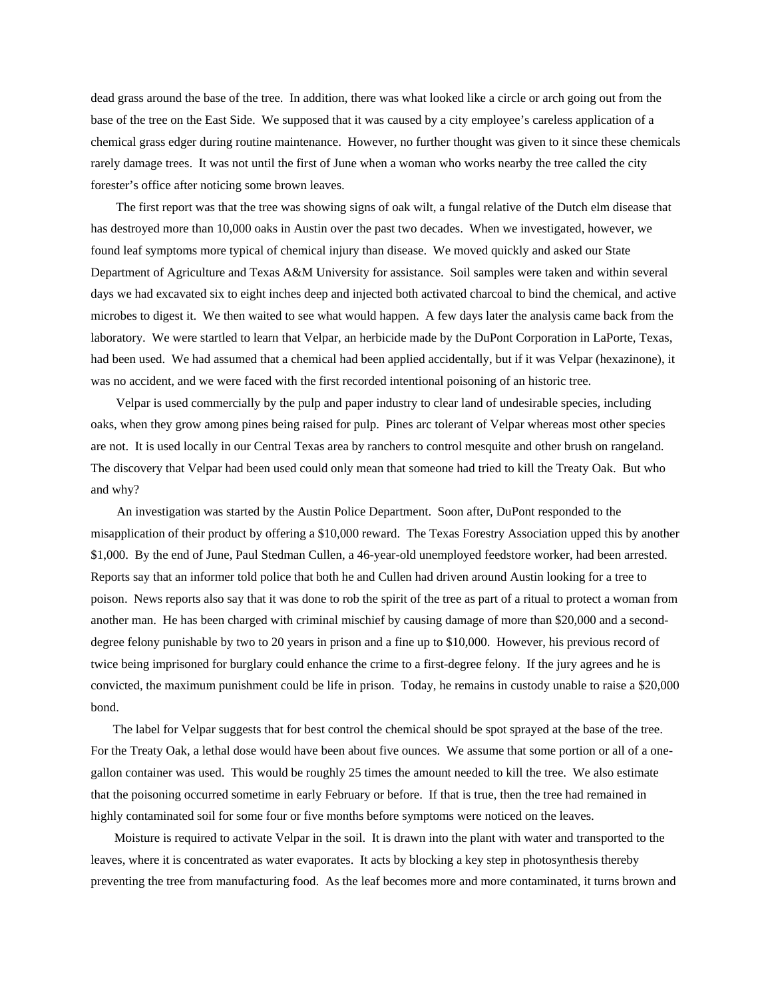dead grass around the base of the tree. In addition, there was what looked like a circle or arch going out from the base of the tree on the East Side. We supposed that it was caused by a city employee's careless application of a chemical grass edger during routine maintenance. However, no further thought was given to it since these chemicals rarely damage trees. It was not until the first of June when a woman who works nearby the tree called the city forester's office after noticing some brown leaves.

The first report was that the tree was showing signs of oak wilt, a fungal relative of the Dutch elm disease that has destroyed more than 10,000 oaks in Austin over the past two decades. When we investigated, however, we found leaf symptoms more typical of chemical injury than disease. We moved quickly and asked our State Department of Agriculture and Texas A&M University for assistance. Soil samples were taken and within several days we had excavated six to eight inches deep and injected both activated charcoal to bind the chemical, and active microbes to digest it. We then waited to see what would happen. A few days later the analysis came back from the laboratory. We were startled to learn that Velpar, an herbicide made by the DuPont Corporation in LaPorte, Texas, had been used. We had assumed that a chemical had been applied accidentally, but if it was Velpar (hexazinone), it was no accident, and we were faced with the first recorded intentional poisoning of an historic tree.

Velpar is used commercially by the pulp and paper industry to clear land of undesirable species, including oaks, when they grow among pines being raised for pulp. Pines arc tolerant of Velpar whereas most other species are not. It is used locally in our Central Texas area by ranchers to control mesquite and other brush on rangeland. The discovery that Velpar had been used could only mean that someone had tried to kill the Treaty Oak. But who and why?

An investigation was started by the Austin Police Department. Soon after, DuPont responded to the misapplication of their product by offering a \$10,000 reward. The Texas Forestry Association upped this by another \$1,000. By the end of June, Paul Stedman Cullen, a 46-year-old unemployed feedstore worker, had been arrested. Reports say that an informer told police that both he and Cullen had driven around Austin looking for a tree to poison. News reports also say that it was done to rob the spirit of the tree as part of a ritual to protect a woman from another man. He has been charged with criminal mischief by causing damage of more than \$20,000 and a seconddegree felony punishable by two to 20 years in prison and a fine up to \$10,000. However, his previous record of twice being imprisoned for burglary could enhance the crime to a first-degree felony. If the jury agrees and he is convicted, the maximum punishment could be life in prison. Today, he remains in custody unable to raise a \$20,000 bond.

The label for Velpar suggests that for best control the chemical should be spot sprayed at the base of the tree. For the Treaty Oak, a lethal dose would have been about five ounces. We assume that some portion or all of a onegallon container was used. This would be roughly 25 times the amount needed to kill the tree. We also estimate that the poisoning occurred sometime in early February or before. If that is true, then the tree had remained in highly contaminated soil for some four or five months before symptoms were noticed on the leaves.

Moisture is required to activate Velpar in the soil. It is drawn into the plant with water and transported to the leaves, where it is concentrated as water evaporates. It acts by blocking a key step in photosynthesis thereby preventing the tree from manufacturing food. As the leaf becomes more and more contaminated, it turns brown and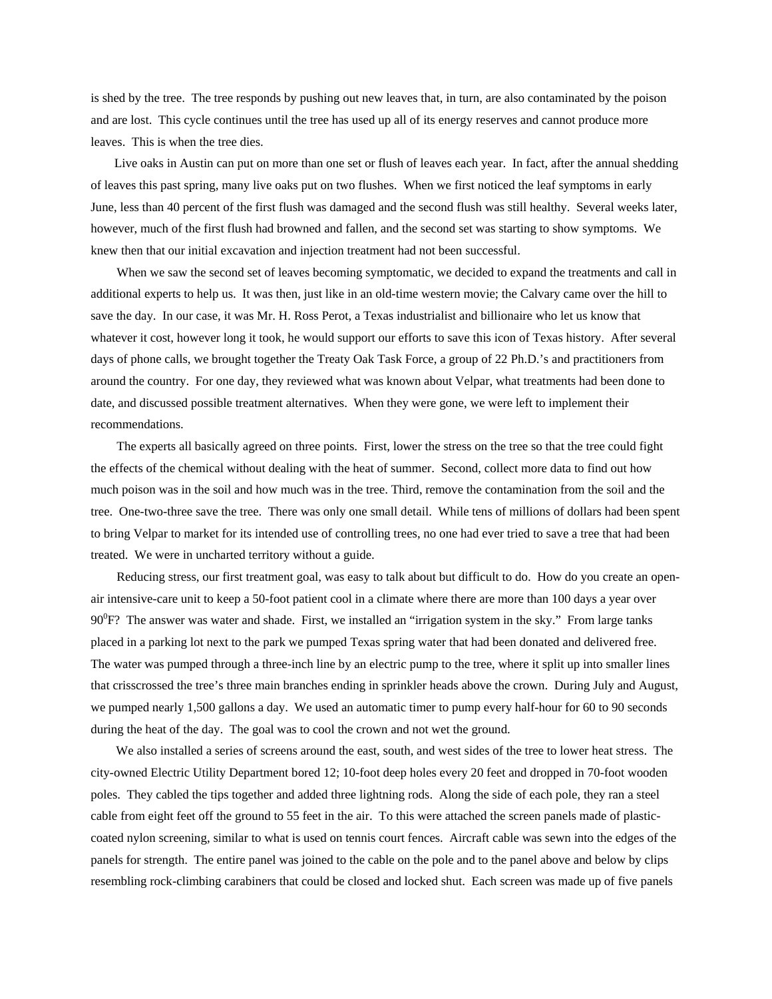is shed by the tree. The tree responds by pushing out new leaves that, in turn, are also contaminated by the poison and are lost. This cycle continues until the tree has used up all of its energy reserves and cannot produce more leaves. This is when the tree dies.

Live oaks in Austin can put on more than one set or flush of leaves each year. In fact, after the annual shedding of leaves this past spring, many live oaks put on two flushes. When we first noticed the leaf symptoms in early June, less than 40 percent of the first flush was damaged and the second flush was still healthy. Several weeks later, however, much of the first flush had browned and fallen, and the second set was starting to show symptoms. We knew then that our initial excavation and injection treatment had not been successful.

When we saw the second set of leaves becoming symptomatic, we decided to expand the treatments and call in additional experts to help us. It was then, just like in an old-time western movie; the Calvary came over the hill to save the day. In our case, it was Mr. H. Ross Perot, a Texas industrialist and billionaire who let us know that whatever it cost, however long it took, he would support our efforts to save this icon of Texas history. After several days of phone calls, we brought together the Treaty Oak Task Force, a group of 22 Ph.D.'s and practitioners from around the country. For one day, they reviewed what was known about Velpar, what treatments had been done to date, and discussed possible treatment alternatives. When they were gone, we were left to implement their recommendations.

The experts all basically agreed on three points. First, lower the stress on the tree so that the tree could fight the effects of the chemical without dealing with the heat of summer. Second, collect more data to find out how much poison was in the soil and how much was in the tree. Third, remove the contamination from the soil and the tree. One-two-three save the tree. There was only one small detail. While tens of millions of dollars had been spent to bring Velpar to market for its intended use of controlling trees, no one had ever tried to save a tree that had been treated. We were in uncharted territory without a guide.

Reducing stress, our first treatment goal, was easy to talk about but difficult to do. How do you create an openair intensive-care unit to keep a 50-foot patient cool in a climate where there are more than 100 days a year over  $90^0$ F? The answer was water and shade. First, we installed an "irrigation system in the sky." From large tanks placed in a parking lot next to the park we pumped Texas spring water that had been donated and delivered free. The water was pumped through a three-inch line by an electric pump to the tree, where it split up into smaller lines that crisscrossed the tree's three main branches ending in sprinkler heads above the crown. During July and August, we pumped nearly 1,500 gallons a day. We used an automatic timer to pump every half-hour for 60 to 90 seconds during the heat of the day. The goal was to cool the crown and not wet the ground.

We also installed a series of screens around the east, south, and west sides of the tree to lower heat stress. The city-owned Electric Utility Department bored 12; 10-foot deep holes every 20 feet and dropped in 70-foot wooden poles. They cabled the tips together and added three lightning rods. Along the side of each pole, they ran a steel cable from eight feet off the ground to 55 feet in the air. To this were attached the screen panels made of plasticcoated nylon screening, similar to what is used on tennis court fences. Aircraft cable was sewn into the edges of the panels for strength. The entire panel was joined to the cable on the pole and to the panel above and below by clips resembling rock-climbing carabiners that could be closed and locked shut. Each screen was made up of five panels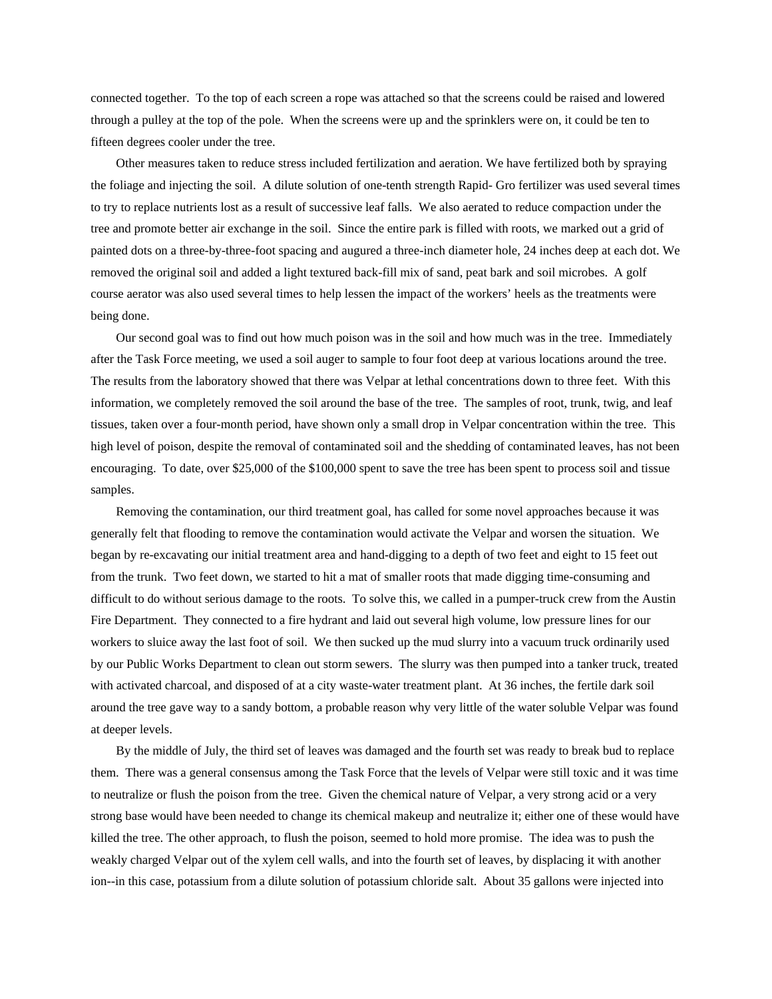connected together. To the top of each screen a rope was attached so that the screens could be raised and lowered through a pulley at the top of the pole. When the screens were up and the sprinklers were on, it could be ten to fifteen degrees cooler under the tree.

Other measures taken to reduce stress included fertilization and aeration. We have fertilized both by spraying the foliage and injecting the soil. A dilute solution of one-tenth strength Rapid- Gro fertilizer was used several times to try to replace nutrients lost as a result of successive leaf falls. We also aerated to reduce compaction under the tree and promote better air exchange in the soil. Since the entire park is filled with roots, we marked out a grid of painted dots on a three-by-three-foot spacing and augured a three-inch diameter hole, 24 inches deep at each dot. We removed the original soil and added a light textured back-fill mix of sand, peat bark and soil microbes. A golf course aerator was also used several times to help lessen the impact of the workers' heels as the treatments were being done.

Our second goal was to find out how much poison was in the soil and how much was in the tree. Immediately after the Task Force meeting, we used a soil auger to sample to four foot deep at various locations around the tree. The results from the laboratory showed that there was Velpar at lethal concentrations down to three feet. With this information, we completely removed the soil around the base of the tree. The samples of root, trunk, twig, and leaf tissues, taken over a four-month period, have shown only a small drop in Velpar concentration within the tree. This high level of poison, despite the removal of contaminated soil and the shedding of contaminated leaves, has not been encouraging. To date, over \$25,000 of the \$100,000 spent to save the tree has been spent to process soil and tissue samples.

Removing the contamination, our third treatment goal, has called for some novel approaches because it was generally felt that flooding to remove the contamination would activate the Velpar and worsen the situation. We began by re-excavating our initial treatment area and hand-digging to a depth of two feet and eight to 15 feet out from the trunk. Two feet down, we started to hit a mat of smaller roots that made digging time-consuming and difficult to do without serious damage to the roots. To solve this, we called in a pumper-truck crew from the Austin Fire Department. They connected to a fire hydrant and laid out several high volume, low pressure lines for our workers to sluice away the last foot of soil. We then sucked up the mud slurry into a vacuum truck ordinarily used by our Public Works Department to clean out storm sewers. The slurry was then pumped into a tanker truck, treated with activated charcoal, and disposed of at a city waste-water treatment plant. At 36 inches, the fertile dark soil around the tree gave way to a sandy bottom, a probable reason why very little of the water soluble Velpar was found at deeper levels.

By the middle of July, the third set of leaves was damaged and the fourth set was ready to break bud to replace them. There was a general consensus among the Task Force that the levels of Velpar were still toxic and it was time to neutralize or flush the poison from the tree. Given the chemical nature of Velpar, a very strong acid or a very strong base would have been needed to change its chemical makeup and neutralize it; either one of these would have killed the tree. The other approach, to flush the poison, seemed to hold more promise. The idea was to push the weakly charged Velpar out of the xylem cell walls, and into the fourth set of leaves, by displacing it with another ion--in this case, potassium from a dilute solution of potassium chloride salt. About 35 gallons were injected into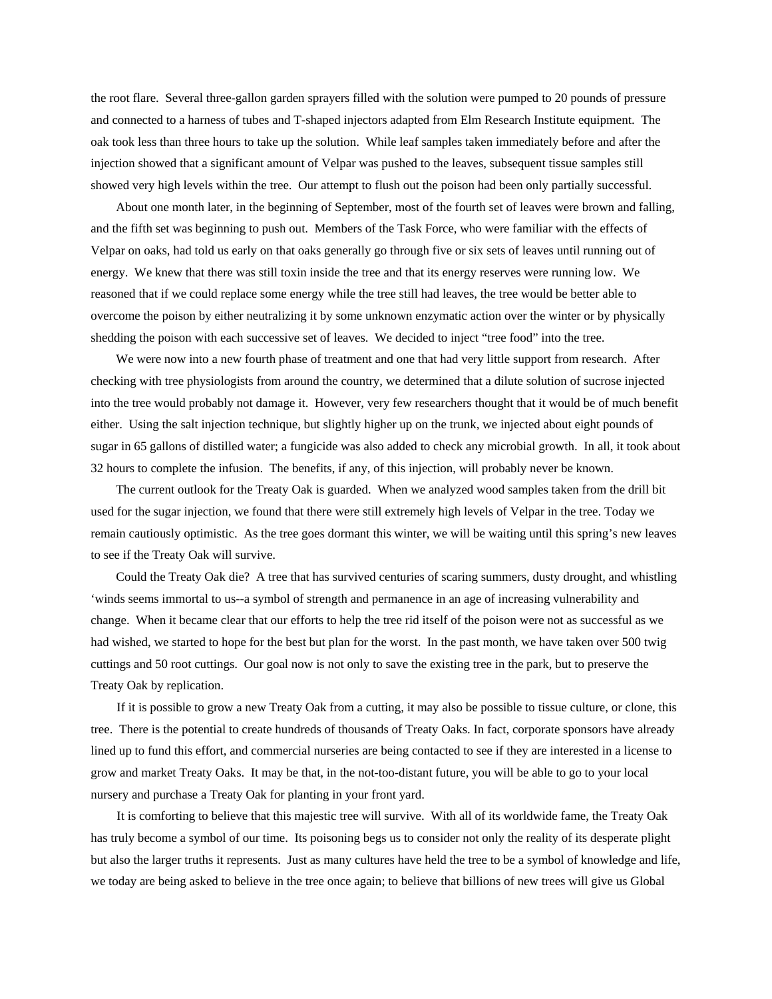the root flare. Several three-gallon garden sprayers filled with the solution were pumped to 20 pounds of pressure and connected to a harness of tubes and T-shaped injectors adapted from Elm Research Institute equipment. The oak took less than three hours to take up the solution. While leaf samples taken immediately before and after the injection showed that a significant amount of Velpar was pushed to the leaves, subsequent tissue samples still showed very high levels within the tree. Our attempt to flush out the poison had been only partially successful.

About one month later, in the beginning of September, most of the fourth set of leaves were brown and falling, and the fifth set was beginning to push out. Members of the Task Force, who were familiar with the effects of Velpar on oaks, had told us early on that oaks generally go through five or six sets of leaves until running out of energy. We knew that there was still toxin inside the tree and that its energy reserves were running low. We reasoned that if we could replace some energy while the tree still had leaves, the tree would be better able to overcome the poison by either neutralizing it by some unknown enzymatic action over the winter or by physically shedding the poison with each successive set of leaves. We decided to inject "tree food" into the tree.

We were now into a new fourth phase of treatment and one that had very little support from research. After checking with tree physiologists from around the country, we determined that a dilute solution of sucrose injected into the tree would probably not damage it. However, very few researchers thought that it would be of much benefit either. Using the salt injection technique, but slightly higher up on the trunk, we injected about eight pounds of sugar in 65 gallons of distilled water; a fungicide was also added to check any microbial growth. In all, it took about 32 hours to complete the infusion. The benefits, if any, of this injection, will probably never be known.

The current outlook for the Treaty Oak is guarded. When we analyzed wood samples taken from the drill bit used for the sugar injection, we found that there were still extremely high levels of Velpar in the tree. Today we remain cautiously optimistic. As the tree goes dormant this winter, we will be waiting until this spring's new leaves to see if the Treaty Oak will survive.

Could the Treaty Oak die? A tree that has survived centuries of scaring summers, dusty drought, and whistling 'winds seems immortal to us--a symbol of strength and permanence in an age of increasing vulnerability and change. When it became clear that our efforts to help the tree rid itself of the poison were not as successful as we had wished, we started to hope for the best but plan for the worst. In the past month, we have taken over 500 twig cuttings and 50 root cuttings. Our goal now is not only to save the existing tree in the park, but to preserve the Treaty Oak by replication.

If it is possible to grow a new Treaty Oak from a cutting, it may also be possible to tissue culture, or clone, this tree. There is the potential to create hundreds of thousands of Treaty Oaks. In fact, corporate sponsors have already lined up to fund this effort, and commercial nurseries are being contacted to see if they are interested in a license to grow and market Treaty Oaks. It may be that, in the not-too-distant future, you will be able to go to your local nursery and purchase a Treaty Oak for planting in your front yard.

It is comforting to believe that this majestic tree will survive. With all of its worldwide fame, the Treaty Oak has truly become a symbol of our time. Its poisoning begs us to consider not only the reality of its desperate plight but also the larger truths it represents. Just as many cultures have held the tree to be a symbol of knowledge and life, we today are being asked to believe in the tree once again; to believe that billions of new trees will give us Global